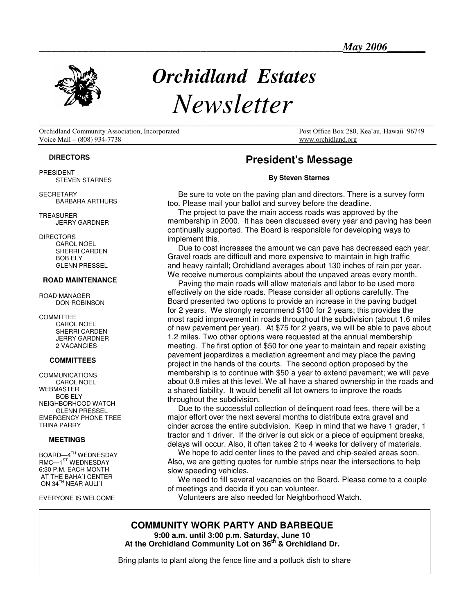

# *Orchidland**Estates Newsletter*

*\_\_\_\_\_\_\_\_\_\_\_\_\_\_\_\_\_\_\_\_\_\_\_\_\_\_\_\_\_\_\_\_\_\_\_\_\_\_\_\_\_\_\_\_\_\_\_\_\_\_\_\_\_\_\_\_\_\_\_\_\_\_\_\_\_\_\_\_\_\_\_\_\_\_\_\_\_\_\_\_\_\_\_\_\_\_\_\_\_\_\_\_\_\_\_\_\_\_\_\_\_\_\_\_\_\_\_\_\_\_\_\_\_* 

Orchidland Community Association, Incorporated Post Office Box 280, Kea`au, Hawaii 96749 Voice Mail – (808) 934-7738 www.orchidland.org

#### **DIRECTORS**

PRESIDENT STEVEN STARNES

**SECRETARY** BARBARA ARTHURS

TREASURER JERRY GARDNER

DIRECTORS CAROL NOEL SHERRI CARDEN BOB ELY GLENN PRESSEL

#### **ROAD MAINTENANCE**

ROAD MANAGER DON ROBINSON

COMMITTEE CAROL NOEL SHERRI CARDEN JERRY GARDNER 2 VACANCIES

#### **COMMITTEES**

COMMUNICATIONS CAROL NOEL WEBMASTER BOB ELY NEIGHBORHOOD WATCH **GLENN PRESSEL** EMERGENCY PHONE TREE TRINA PARRY

#### **MEETINGS**

BOARD—4TH WEDNESDAY RMC—1<sup>ST</sup> WEDNESDAY 6:30 P.M. EACH MONTH AT THE BAHA`I CENTER ON 34TH NEAR AULI`I

EVERYONE IS WELCOME

## **President's Message**

#### **By Steven Starnes**

 Be sure to vote on the paving plan and directors. There is a survey form too. Please mail your ballot and survey before the deadline.

 The project to pave the main access roads was approved by the membership in 2000. It has been discussed every year and paving has been continually supported. The Board is responsible for developing ways to implement this.

 Due to cost increases the amount we can pave has decreased each year. Gravel roads are difficult and more expensive to maintain in high traffic and heavy rainfall; Orchidland averages about 130 inches of rain per year. We receive numerous complaints about the unpaved areas every month.

 Paving the main roads will allow materials and labor to be used more effectively on the side roads. Please consider all options carefully. The Board presented two options to provide an increase in the paving budget for 2 years. We strongly recommend \$100 for 2 years; this provides the most rapid improvement in roads throughout the subdivision (about 1.6 miles of new pavement per year). At \$75 for 2 years, we will be able to pave about 1.2 miles. Two other options were requested at the annual membership meeting. The first option of \$50 for one year to maintain and repair existing pavement jeopardizes a mediation agreement and may place the paving project in the hands of the courts. The second option proposed by the membership is to continue with \$50 a year to extend pavement; we will pave about 0.8 miles at this level. We all have a shared ownership in the roads and a shared liability. It would benefit all lot owners to improve the roads throughout the subdivision.

 Due to the successful collection of delinquent road fees, there will be a major effort over the next several months to distribute extra gravel and cinder across the entire subdivision. Keep in mind that we have 1 grader, 1 tractor and 1 driver. If the driver is out sick or a piece of equipment breaks, delays will occur. Also, it often takes 2 to 4 weeks for delivery of materials.

 We hope to add center lines to the paved and chip-sealed areas soon. Also, we are getting quotes for rumble strips near the intersections to help slow speeding vehicles.

 We need to fill several vacancies on the Board. Please come to a couple of meetings and decide if you can volunteer.

Volunteers are also needed for Neighborhood Watch.

### **COMMUNITY WORK PARTY AND BARBEQUE 9:00 a.m. until 3:00 p.m. Saturday, June 10 At the Orchidland Community Lot on 36th & Orchidland Dr.**

Bring plants to plant along the fence line and a potluck dish to share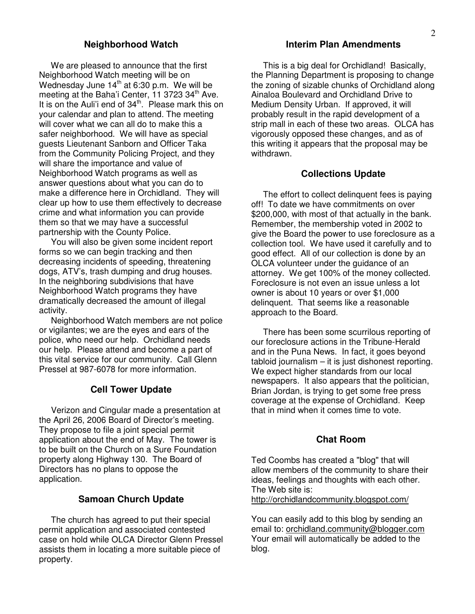#### **Neighborhood Watch**

 We are pleased to announce that the first Neighborhood Watch meeting will be on Wednesday June  $14<sup>th</sup>$  at 6:30 p.m. We will be meeting at the Baha'i Center, 11 3723 34<sup>th</sup> Ave. It is on the Auli'i end of  $34<sup>th</sup>$ . Please mark this on your calendar and plan to attend. The meeting will cover what we can all do to make this a safer neighborhood. We will have as special guests Lieutenant Sanborn and Officer Taka from the Community Policing Project, and they will share the importance and value of Neighborhood Watch programs as well as answer questions about what you can do to make a difference here in Orchidland. They will clear up how to use them effectively to decrease crime and what information you can provide them so that we may have a successful partnership with the County Police.

 You will also be given some incident report forms so we can begin tracking and then decreasing incidents of speeding, threatening dogs, ATV's, trash dumping and drug houses. In the neighboring subdivisions that have Neighborhood Watch programs they have dramatically decreased the amount of illegal activity.

 Neighborhood Watch members are not police or vigilantes; we are the eyes and ears of the police, who need our help. Orchidland needs our help. Please attend and become a part of this vital service for our community. Call Glenn Pressel at 987-6078 for more information.

#### **Cell Tower Update**

 Verizon and Cingular made a presentation at the April 26, 2006 Board of Director's meeting. They propose to file a joint special permit application about the end of May. The tower is to be built on the Church on a Sure Foundation property along Highway 130. The Board of Directors has no plans to oppose the application.

### **Samoan Church Update**

 The church has agreed to put their special permit application and associated contested case on hold while OLCA Director Glenn Pressel assists them in locating a more suitable piece of property.

## **Interim Plan Amendments**

 This is a big deal for Orchidland! Basically, the Planning Department is proposing to change the zoning of sizable chunks of Orchidland along Ainaloa Boulevard and Orchidland Drive to Medium Density Urban. If approved, it will probably result in the rapid development of a strip mall in each of these two areas. OLCA has vigorously opposed these changes, and as of this writing it appears that the proposal may be withdrawn.

#### **Collections Update**

 The effort to collect delinquent fees is paying off! To date we have commitments on over \$200,000, with most of that actually in the bank. Remember, the membership voted in 2002 to give the Board the power to use foreclosure as a collection tool. We have used it carefully and to good effect. All of our collection is done by an OLCA volunteer under the guidance of an attorney. We get 100% of the money collected. Foreclosure is not even an issue unless a lot owner is about 10 years or over \$1,000 delinquent. That seems like a reasonable approach to the Board.

 There has been some scurrilous reporting of our foreclosure actions in the Tribune-Herald and in the Puna News. In fact, it goes beyond tabloid journalism – it is just dishonest reporting. We expect higher standards from our local newspapers. It also appears that the politician, Brian Jordan, is trying to get some free press coverage at the expense of Orchidland. Keep that in mind when it comes time to vote.

## **Chat Room**

Ted Coombs has created a "blog" that will allow members of the community to share their ideas, feelings and thoughts with each other. The Web site is:

http://orchidlandcommunity.blogspot.com/

You can easily add to this blog by sending an email to: orchidland.community@blogger.com Your email will automatically be added to the blog.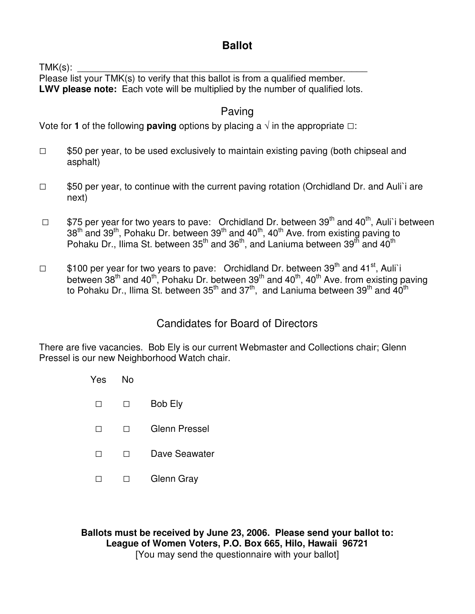## **Ballot**

TMK(s): \_\_\_\_\_\_\_\_\_\_\_\_\_\_\_\_\_\_\_\_\_\_\_\_\_\_\_\_\_\_\_\_\_\_\_\_\_\_\_\_\_\_\_\_\_\_\_\_\_\_\_\_\_\_\_\_

Please list your TMK(s) to verify that this ballot is from a qualified member. **LWV please note:** Each vote will be multiplied by the number of qualified lots.

## Paving

Vote for **1** of the following **paving** options by placing a √ in the appropriate □:

- □ \$50 per year, to be used exclusively to maintain existing paving (both chipseal and asphalt)
- □ \$50 per year, to continue with the current paving rotation (Orchidland Dr. and Auli`i are next)
- $\square$  \$75 per year for two years to pave: Orchidland Dr. between 39<sup>th</sup> and 40<sup>th</sup>, Auli`i between 38<sup>th</sup> and 39<sup>th</sup>, Pohaku Dr. between 39<sup>th</sup> and 40<sup>th</sup>, 40<sup>th</sup> Ave. from existing paving to Pohaku Dr., Ilima St. between  $35<sup>th</sup>$  and  $36<sup>th</sup>$ , and Laniuma between  $39<sup>th</sup>$  and  $40<sup>th</sup>$
- $\Box$  \$100 per year for two years to pave: Orchidland Dr. between 39<sup>th</sup> and 41<sup>st</sup>, Auli`i between 38<sup>th</sup> and 40<sup>th</sup>, Pohaku Dr. between 39<sup>th</sup> and 40<sup>th</sup>, 40<sup>th</sup> Ave. from existing paving to Pohaku Dr., Ilima St. between 35<sup>th</sup> and 37<sup>th</sup>, and Laniuma between 39<sup>th</sup> and  $40^{\text{th}}$

## Candidates for Board of Directors

There are five vacancies. Bob Ely is our current Webmaster and Collections chair; Glenn Pressel is our new Neighborhood Watch chair.

- Yes No
- □ □ Bob Ely
- □ □ Glenn Pressel
- □ □ Dave Seawater
- □ □ Glenn Gray

**Ballots must be received by June 23, 2006. Please send your ballot to: League of Women Voters, P.O. Box 665, Hilo, Hawaii 96721**  [You may send the questionnaire with your ballot]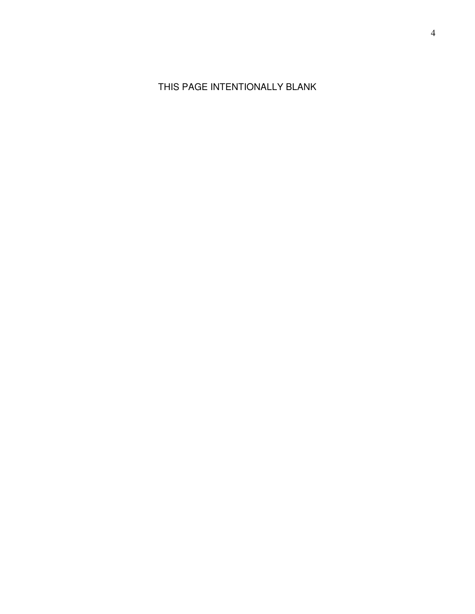## THIS PAGE INTENTIONALLY BLANK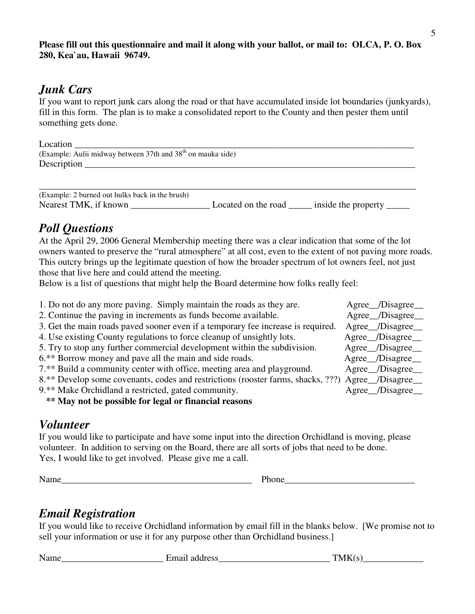## **Please fill out this questionnaire and mail it along with your ballot, or mail to: OLCA, P. O. Box 280, Kea`au, Hawaii 96749.**

# *Junk Cars*

If you want to report junk cars along the road or that have accumulated inside lot boundaries (junkyards), fill in this form. The plan is to make a consolidated report to the County and then pester them until something gets done.

| Location                                                      |
|---------------------------------------------------------------|
| (Example: Aulii midway between 37th and $38th$ on mauka side) |
| Description                                                   |
|                                                               |

| (Example: 2 burned out hulks back in the brush) |                     |                     |
|-------------------------------------------------|---------------------|---------------------|
| Nearest TMK, if known                           | Located on the road | inside the property |

# *Poll Questions*

At the April 29, 2006 General Membership meeting there was a clear indication that some of the lot owners wanted to preserve the "rural atmosphere" at all cost, even to the extent of not paving more roads. This outcry brings up the legitimate question of how the broader spectrum of lot owners feel, not just those that live here and could attend the meeting.

Below is a list of questions that might help the Board determine how folks really feel:

| 1. Do not do any more paving. Simply maintain the roads as they are.             | Agree /Disagree  |
|----------------------------------------------------------------------------------|------------------|
| 2. Continue the paving in increments as funds become available.                  | Agree_/Disagree_ |
| 3. Get the main roads paved sooner even if a temporary fee increase is required. | Agree /Disagree  |
| 4. Use existing County regulations to force cleanup of unsightly lots.           | Agree /Disagree  |
| 5. Try to stop any further commercial development within the subdivision.        | Agree /Disagree  |
| 6.** Borrow money and pave all the main and side roads.                          | Agree /Disagree  |
| 7.** Build a community center with office, meeting area and playground.          | Agree_/Disagree_ |
| 8.** Develop some covenants, codes and restrictions (rooster farms, shacks, ???) | Agree /Disagree  |
| 9.** Make Orchidland a restricted, gated community.                              | Agree /Disagree  |
| ** May not be possible for legal or financial reasons                            |                  |

# *Volunteer*

If you would like to participate and have some input into the direction Orchidland is moving, please volunteer. In addition to serving on the Board, there are all sorts of jobs that need to be done. Yes, I would like to get involved. Please give me a call.

Name Phone

# *Email Registration*

If you would like to receive Orchidland information by email fill in the blanks below. [We promise not to sell your information or use it for any purpose other than Orchidland business.]

| Name | المتحد والمتعاري<br>address<br>r imail ش |  | TM <i>IV</i> |  |
|------|------------------------------------------|--|--------------|--|
|------|------------------------------------------|--|--------------|--|